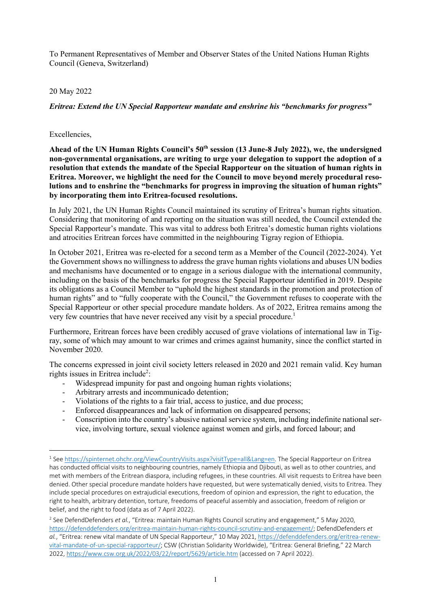To Permanent Representatives of Member and Observer States of the United Nations Human Rights Council (Geneva, Switzerland)

## 20 May 2022

*Eritrea: Extend the UN Special Rapporteur mandate and enshrine his "benchmarks for progress"*

## Excellencies,

Ahead of the UN Human Rights Council's 50<sup>th</sup> session (13 June-8 July 2022), we, the undersigned **non-governmental organisations, are writing to urge your delegation to support the adoption of a resolution that extends the mandate of the Special Rapporteur on the situation of human rights in Eritrea. Moreover, we highlight the need for the Council to move beyond merely procedural resolutions and to enshrine the "benchmarks for progress in improving the situation of human rights" by incorporating them into Eritrea-focused resolutions.** 

In July 2021, the UN Human Rights Council maintained its scrutiny of Eritrea's human rights situation. Considering that monitoring of and reporting on the situation was still needed, the Council extended the Special Rapporteur's mandate. This was vital to address both Eritrea's domestic human rights violations and atrocities Eritrean forces have committed in the neighbouring Tigray region of Ethiopia.

In October 2021, Eritrea was re-elected for a second term as a Member of the Council (2022-2024). Yet the Government shows no willingness to address the grave human rights violations and abuses UN bodies and mechanisms have documented or to engage in a serious dialogue with the international community, including on the basis of the benchmarks for progress the Special Rapporteur identified in 2019. Despite its obligations as a Council Member to "uphold the highest standards in the promotion and protection of human rights" and to "fully cooperate with the Council," the Government refuses to cooperate with the Special Rapporteur or other special procedure mandate holders. As of 2022, Eritrea remains among the very few countries that have never received any visit by a special procedure.<sup>1</sup>

Furthermore, Eritrean forces have been credibly accused of grave violations of international law in Tigray, some of which may amount to war crimes and crimes against humanity, since the conflict started in November 2020.

The concerns expressed in joint civil society letters released in 2020 and 2021 remain valid. Key human rights issues in Eritrea include<sup>2</sup>:

- Widespread impunity for past and ongoing human rights violations;
- Arbitrary arrests and incommunicado detention;
- Violations of the rights to a fair trial, access to justice, and due process;
- Enforced disappearances and lack of information on disappeared persons;
- Conscription into the country's abusive national service system, including indefinite national service, involving torture, sexual violence against women and girls, and forced labour; and

<sup>1</sup> See https://spinternet.ohchr.org/ViewCountryVisits.aspx?visitType=all&Lang=en. The Special Rapporteur on Eritrea has conducted official visits to neighbouring countries, namely Ethiopia and Djibouti, as well as to other countries, and met with members of the Eritrean diaspora, including refugees, in these countries. All visit requests to Eritrea have been denied. Other special procedure mandate holders have requested, but were systematically denied, visits to Eritrea. They include special procedures on extrajudicial executions, freedom of opinion and expression, the right to education, the right to health, arbitrary detention, torture, freedoms of peaceful assembly and association, freedom of religion or belief, and the right to food (data as of 7 April 2022).

<sup>2</sup> See DefendDefenders *et al.*, "Eritrea: maintain Human Rights Council scrutiny and engagement," 5 May 2020, https://defenddefenders.org/eritrea-maintain-human-rights-council-scrutiny-and-engagement/; DefendDefenders *et al.*, "Eritrea: renew vital mandate of UN Special Rapporteur," 10 May 2021, https://defenddefenders.org/eritrea-renewvital-mandate-of-un-special-rapporteur/; CSW (Christian Solidarity Worldwide), "Eritrea: General Briefing," 22 March 2022, https://www.csw.org.uk/2022/03/22/report/5629/article.htm (accessed on 7 April 2022).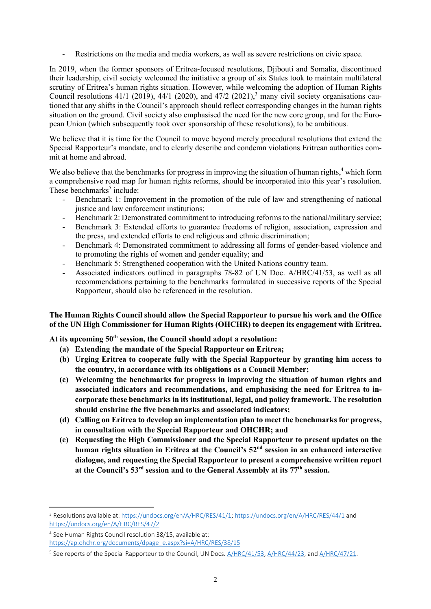- Restrictions on the media and media workers, as well as severe restrictions on civic space.

In 2019, when the former sponsors of Eritrea-focused resolutions, Djibouti and Somalia, discontinued their leadership, civil society welcomed the initiative a group of six States took to maintain multilateral scrutiny of Eritrea's human rights situation. However, while welcoming the adoption of Human Rights Council resolutions 41/1 (2019), 44/1 (2020), and 47/2 (2021), <sup>3</sup> many civil society organisations cautioned that any shifts in the Council's approach should reflect corresponding changes in the human rights situation on the ground. Civil society also emphasised the need for the new core group, and for the European Union (which subsequently took over sponsorship of these resolutions), to be ambitious.

We believe that it is time for the Council to move beyond merely procedural resolutions that extend the Special Rapporteur's mandate, and to clearly describe and condemn violations Eritrean authorities commit at home and abroad.

We also believe that the benchmarks for progress in improving the situation of human rights,<sup>4</sup> which form a comprehensive road map for human rights reforms, should be incorporated into this year's resolution. These benchmarks<sup>5</sup> include:

- Benchmark 1: Improvement in the promotion of the rule of law and strengthening of national justice and law enforcement institutions;
- Benchmark 2: Demonstrated commitment to introducing reforms to the national/military service;
- Benchmark 3: Extended efforts to guarantee freedoms of religion, association, expression and the press, and extended efforts to end religious and ethnic discrimination;
- Benchmark 4: Demonstrated commitment to addressing all forms of gender-based violence and to promoting the rights of women and gender equality; and
- Benchmark 5: Strengthened cooperation with the United Nations country team.
- Associated indicators outlined in paragraphs 78-82 of UN Doc. A/HRC/41/53, as well as all recommendations pertaining to the benchmarks formulated in successive reports of the Special Rapporteur, should also be referenced in the resolution.

## **The Human Rights Council should allow the Special Rapporteur to pursue his work and the Office of the UN High Commissioner for Human Rights (OHCHR) to deepen its engagement with Eritrea.**

**At its upcoming 50th session, the Council should adopt a resolution:**

- **(a) Extending the mandate of the Special Rapporteur on Eritrea;**
- **(b) Urging Eritrea to cooperate fully with the Special Rapporteur by granting him access to the country, in accordance with its obligations as a Council Member;**
- **(c) Welcoming the benchmarks for progress in improving the situation of human rights and associated indicators and recommendations, and emphasising the need for Eritrea to incorporate these benchmarks in its institutional, legal, and policy framework. The resolution should enshrine the five benchmarks and associated indicators;**
- **(d) Calling on Eritrea to develop an implementation plan to meet the benchmarks for progress, in consultation with the Special Rapporteur and OHCHR; and**
- **(e) Requesting the High Commissioner and the Special Rapporteur to present updates on the human rights situation in Eritrea at the Council's 52nd session in an enhanced interactive dialogue, and requesting the Special Rapporteur to present a comprehensive written report at the Council's 53rd session and to the General Assembly at its 77th session.**

<sup>3</sup> Resolutions available at: https://undocs.org/en/A/HRC/RES/41/1; https://undocs.org/en/A/HRC/RES/44/1 and https://undocs.org/en/A/HRC/RES/47/2

<sup>4</sup> See Human Rights Council resolution 38/15, available at:

https://ap.ohchr.org/documents/dpage\_e.aspx?si=A/HRC/RES/38/15

<sup>&</sup>lt;sup>5</sup> See reports of the Special Rapporteur to the Council, UN Docs. A/HRC/41/53, A/HRC/44/23, and A/HRC/47/21.